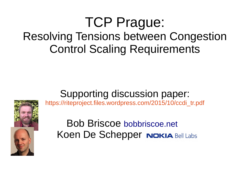#### TCP Prague: Resolving Tensions between Congestion Control Scaling Requirements

#### Supporting discussion paper:



[https://riteproject.files.wordpress.com/2015/10/ccdi\\_tr.pdf](https://riteproject.files.wordpress.com/2015/10/ccdi_tr.pdf)

Bob Briscoe bobbriscoe.net Koen De Schepper Nokia Bell Labs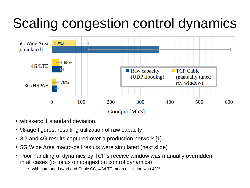## Scaling congestion control dynamics



- whiskers: 1 standard deviation.
- %-age figures: resulting utilization of raw capacity
- 3G and 4G results captured over a production network [1]
- 5G Wide Area macro-cell results were simulated (next slide)
- Poor handling of dynamics by TCP's receive window was manually overridden in all cases (to focus on congestion control dynamics)
	- with autotuned rwnd and Cubic CC, 4G/LTE mean utilization was 43%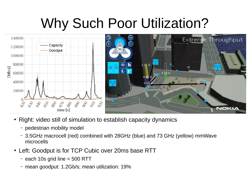#### Why Such Poor Utilization?



- Right: video still of simulation to establish capacity dynamics
	- pedestrian mobility model
	- 3.5GHz macrocell (red) combined with 28GHz (blue) and 73 GHz (yellow) mmWave microcells
- Left: Goodput is for TCP Cubic over 20ms base RTT
	- each 10s grid line = 500 RTT
	- mean goodput: 1.2Gb/s; mean utilization: 19%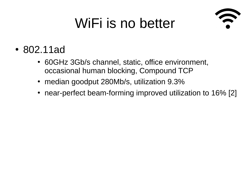## WiFi is no better



- 802.11ad
	- 60GHz 3Gb/s channel, static, office environment, occasional human blocking, Compound TCP
	- median goodput 280Mb/s, utilization 9.3%
	- near-perfect beam-forming improved utilization to 16% [2]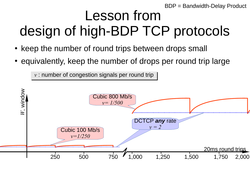BDP = Bandwidth-Delay Product

### Lesson from design of high-BDP TCP protocols

- keep the number of round trips between drops small
- equivalently, keep the number of drops per round trip large

 $v$  : number of congestion signals per round trip

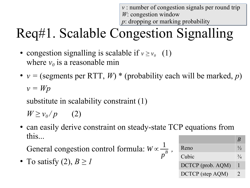*v* : number of congestion signals per round trip *v* : number of congestion signals per round trip *W*: congestion window *W*: congestion window *p*: dropping or marking probability *p*: dropping or marking probability

# Req#1. Scalable Congestion Signalling

- congestion signalling is scalable if  $v \ge v_0$  (1) where  $v_0$  is a reasonable min
- $v =$  (segments per RTT, *W*) \* (probability each will be marked, *p*) *v = Wp*

substitute in scalability constraint (1)

 $W \geq v_0 / p$  (2)

• can easily derive constraint on steady-state TCP equations from this...

General congestion control formula:  $W \propto \frac{1}{B}$ , 1 *p B*

• To satisfy  $(2)$ ,  $B \geq 1$ 

|       |                   | $\boldsymbol{\kappa}$ |
|-------|-------------------|-----------------------|
| Reno  |                   | $\frac{1}{2}$         |
| Cubic |                   | $\frac{3}{4}$         |
|       | DCTCP (prob. AQM) |                       |
|       | DCTCP (step AQM)  | $\mathcal{D}_{\cdot}$ |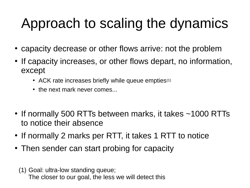## Approach to scaling the dynamics

- capacity decrease or other flows arrive: not the problem
- If capacity increases, or other flows depart, no information, except
	- ACK rate increases briefly while queue empties $(1)$
	- the next mark never comes...
- If normally 500 RTTs between marks, it takes ~1000 RTTs to notice their absence
- If normally 2 marks per RTT, it takes 1 RTT to notice
- Then sender can start probing for capacity
	- (1) Goal: ultra-low standing queue; The closer to our goal, the less we will detect this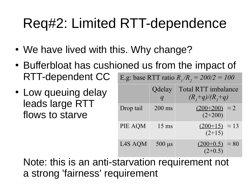### Req#2: Limited RTT-dependence

- We have lived with this. Why change?
- Bufferbloat has cushioned us from the impact of RTT-dependent CC E.g: base RTT ratio *R1 /R<sup>2</sup> = 200/2 = 100*
- Low queuing delay leads large RTT flows to starve

| E.g: base R1 1 ratio $R_1/R_2 = 200/2 = 100$ |                 |                                    |              |  |  |
|----------------------------------------------|-----------------|------------------------------------|--------------|--|--|
|                                              | Qdelay          | <b>Total RTT imbalance</b>         |              |  |  |
|                                              |                 | $(R, +q)/(R, +q)$                  |              |  |  |
| Drop tail                                    | $200$ ms        | $(200+200) \approx 2$<br>$(2+200)$ |              |  |  |
| PIE AQM                                      | $15 \text{ ms}$ | $(200+15) \approx 13$<br>$(2+15)$  |              |  |  |
| L4S AQM                                      | $500 \mu s$     | $(200+0.5)$<br>$(2+0.5)$           | $\approx 80$ |  |  |

Note: this is an anti-starvation requirement not a strong 'fairness' requirement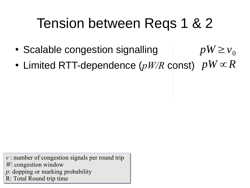#### Tension between Reqs 1 & 2

- Scalable congestion signalling  $pW \geq v_0$
- Limited RTT-dependence (*pW/R* const)  $pW \propto R$

*v* : number of congestion signals per round trip *v* : number of congestion signals per round trip *W*: congestion window *W*: congestion window *p*: dopping or marking probability *p*: dopping or marking probability R: Total Round trip time R: Total Round trip time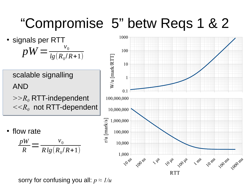#### "Compromise 5" betw Reqs 1 & 2

• signals per RTT  $pW =$ *v*0  $lg(R_0/R + 1)$ 

scalable signalling AND *>>R<sup>0</sup>* RTT-independent *<<R<sup>0</sup>* not RTT-dependent

flow rate

$$
\frac{pW}{R} = \frac{v_0}{Rlg(R_0/R+1)}
$$



sorry for confusing you all: *p ≈ 1/u*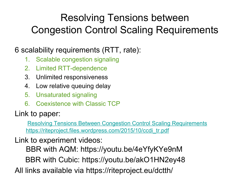#### Resolving Tensions between Congestion Control Scaling Requirements

#### 6 scalability requirements (RTT, rate):

- 1. Scalable congestion signaling
- 2. Limited RTT-dependence
- 3. Unlimited responsiveness
- 4. Low relative queuing delay
- 5. Unsaturated signaling
- 6. Coexistence with Classic TCP

#### Link to paper:

 [Resolving Tensions Between Congestion Control Scaling Requirements](https://riteproject.files.wordpress.com/2015/10/ccdi_tr.pdf) https://riteproject.files.wordpress.com/2015/10/ccdi\_tr.pdf

Link to experiment videos:

BBR with AQM: <https://youtu.be/4eYfyKYe9nM>

BBR with Cubic: <https://youtu.be/akO1HN2ey48>

All links available via <https://riteproject.eu/dctth/>